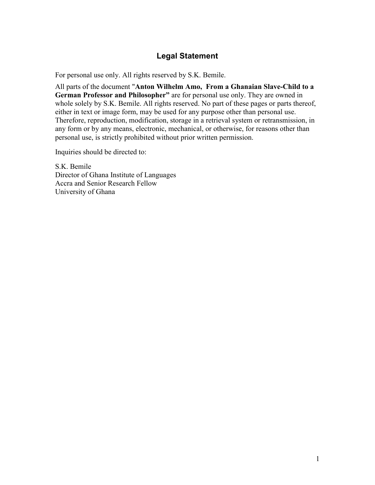# Legal Statement

For personal use only. All rights reserved by S.K. Bemile.

All parts of the document "Anton Wilhelm Amo, From a Ghanaian Slave-Child to a German Professor and Philosopher" are for personal use only. They are owned in whole solely by S.K. Bemile. All rights reserved. No part of these pages or parts thereof, either in text or image form, may be used for any purpose other than personal use. Therefore, reproduction, modification, storage in a retrieval system or retransmission, in any form or by any means, electronic, mechanical, or otherwise, for reasons other than personal use, is strictly prohibited without prior written permission.

Inquiries should be directed to:

S.K. Bemile Director of Ghana Institute of Languages Accra and Senior Research Fellow University of Ghana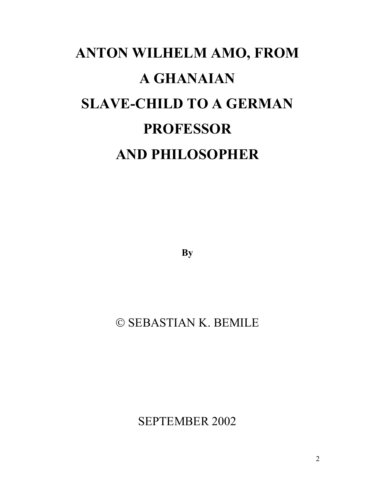# ANTON WILHELM AMO, FROM A GHANAIAN SLAVE-CHILD TO A GERMAN PROFESSOR AND PHILOSOPHER

**By** 

# © SEBASTIAN K. BEMILE

SEPTEMBER 2002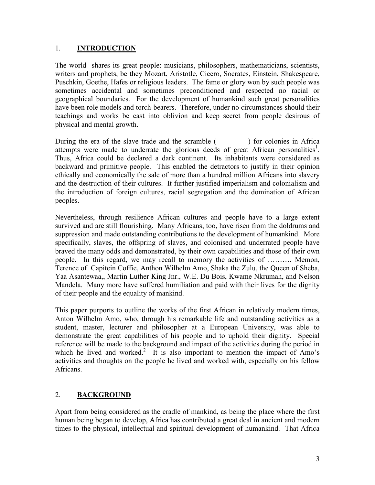#### 1. INTRODUCTION

The world shares its great people: musicians, philosophers, mathematicians, scientists, writers and prophets, be they Mozart, Aristotle, Cicero, Socrates, Einstein, Shakespeare, Puschkin, Goethe, Hafes or religious leaders. The fame or glory won by such people was sometimes accidental and sometimes preconditioned and respected no racial or geographical boundaries. For the development of humankind such great personalities have been role models and torch-bearers. Therefore, under no circumstances should their teachings and works be cast into oblivion and keep secret from people desirous of physical and mental growth.

During the era of the slave trade and the scramble () for colonies in Africa attempts were made to underrate the glorious deeds of great African personalities<sup>1</sup>. Thus, Africa could be declared a dark continent. Its inhabitants were considered as backward and primitive people. This enabled the detractors to justify in their opinion ethically and economically the sale of more than a hundred million Africans into slavery and the destruction of their cultures. It further justified imperialism and colonialism and the introduction of foreign cultures, racial segregation and the domination of African peoples.

Nevertheless, through resilience African cultures and people have to a large extent survived and are still flourishing. Many Africans, too, have risen from the doldrums and suppression and made outstanding contributions to the development of humankind. More specifically, slaves, the offspring of slaves, and colonised and underrated people have braved the many odds and demonstrated, by their own capabilities and those of their own people. In this regard, we may recall to memory the activities of ………. Memon, Terence of Capitein Coffie, Anthon Wilhelm Amo, Shaka the Zulu, the Queen of Sheba, Yaa Asantewaa,, Martin Luther King Jnr., W.E. Du Bois, Kwame Nkrumah, and Nelson Mandela. Many more have suffered humiliation and paid with their lives for the dignity of their people and the equality of mankind.

This paper purports to outline the works of the first African in relatively modern times, Anton Wilhelm Amo, who, through his remarkable life and outstanding activities as a student, master, lecturer and philosopher at a European University, was able to demonstrate the great capabilities of his people and to uphold their dignity. Special reference will be made to the background and impact of the activities during the period in which he lived and worked.<sup>2</sup> It is also important to mention the impact of Amo's activities and thoughts on the people he lived and worked with, especially on his fellow Africans.

# 2. BACKGROUND

Apart from being considered as the cradle of mankind, as being the place where the first human being began to develop, Africa has contributed a great deal in ancient and modern times to the physical, intellectual and spiritual development of humankind. That Africa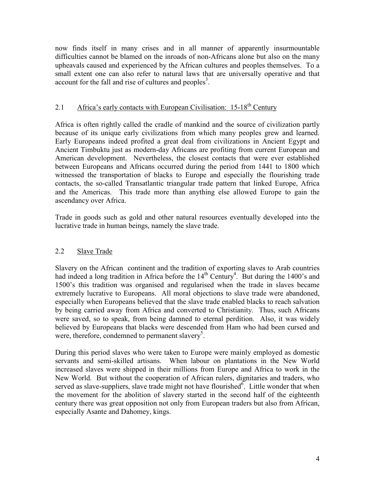now finds itself in many crises and in all manner of apparently insurmountable difficulties cannot be blamed on the inroads of non-Africans alone but also on the many upheavals caused and experienced by the African cultures and peoples themselves. To a small extent one can also refer to natural laws that are universally operative and that account for the fall and rise of cultures and peoples<sup>3</sup>.

# 2.1 Africa's early contacts with European Civilisation:  $15{\text -}18^{\text{th}}$  Century

Africa is often rightly called the cradle of mankind and the source of civilization partly because of its unique early civilizations from which many peoples grew and learned. Early Europeans indeed profited a great deal from civilizations in Ancient Egypt and Ancient Timbuktu just as modern-day Africans are profiting from current European and American development. Nevertheless, the closest contacts that were ever established between Europeans and Africans occurred during the period from 1441 to 1800 which witnessed the transportation of blacks to Europe and especially the flourishing trade contacts, the so-called Transatlantic triangular trade pattern that linked Europe, Africa and the Americas. This trade more than anything else allowed Europe to gain the ascendancy over Africa.

Trade in goods such as gold and other natural resources eventually developed into the lucrative trade in human beings, namely the slave trade.

# 2.2 Slave Trade

Slavery on the African continent and the tradition of exporting slaves to Arab countries had indeed a long tradition in Africa before the  $14<sup>th</sup>$  Century<sup>4</sup>. But during the 1400's and 1500's this tradition was organised and regularised when the trade in slaves became extremely lucrative to Europeans. All moral objections to slave trade were abandoned, especially when Europeans believed that the slave trade enabled blacks to reach salvation by being carried away from Africa and converted to Christianity. Thus, such Africans were saved, so to speak, from being damned to eternal perdition. Also, it was widely believed by Europeans that blacks were descended from Ham who had been cursed and were, therefore, condemned to permanent slavery<sup>5</sup>.

During this period slaves who were taken to Europe were mainly employed as domestic servants and semi-skilled artisans. When labour on plantations in the New World increased slaves were shipped in their millions from Europe and Africa to work in the New World. But without the cooperation of African rulers, dignitaries and traders, who served as slave-suppliers, slave trade might not have flourished $\delta$ . Little wonder that when the movement for the abolition of slavery started in the second half of the eighteenth century there was great opposition not only from European traders but also from African, especially Asante and Dahomey, kings.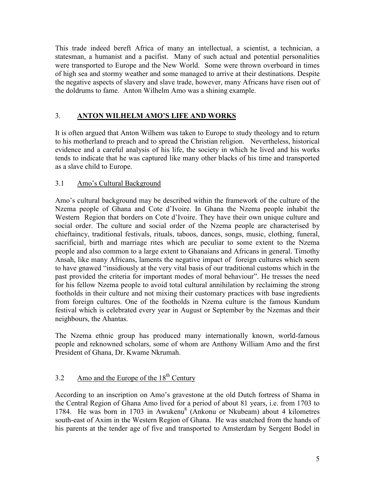This trade indeed bereft Africa of many an intellectual, a scientist, a technician, a statesman, a humanist and a pacifist. Many of such actual and potential personalities were transported to Europe and the New World. Some were thrown overboard in times of high sea and stormy weather and some managed to arrive at their destinations. Despite the negative aspects of slavery and slave trade, however, many Africans have risen out of the doldrums to fame. Anton Wilhelm Amo was a shining example.

# 3. ANTON WILHELM AMO'S LIFE AND WORKS

It is often argued that Anton Wilhem was taken to Europe to study theology and to return to his motherland to preach and to spread the Christian religion. Nevertheless, historical evidence and a careful analysis of his life, the society in which he lived and his works tends to indicate that he was captured like many other blacks of his time and transported as a slave child to Europe.

# 3.1 Amo's Cultural Background

Amo's cultural background may be described within the framework of the culture of the Nzema people of Ghana and Cote d'Ivoire. In Ghana the Nzema people inhabit the Western Region that borders on Cote d'Ivoire. They have their own unique culture and social order. The culture and social order of the Nzema people are characterised by chieftaincy, traditional festivals, rituals, taboos, dances, songs, music, clothing, funeral, sacrificial, birth and marriage rites which are peculiar to some extent to the Nzema people and also common to a large extent to Ghanaians and Africans in general. Timothy Ansah, like many Africans, laments the negative impact of foreign cultures which seem to have gnawed "insidiously at the very vital basis of our traditional customs which in the past provided the criteria for important modes of moral behaviour". He tresses the need for his fellow Nzema people to avoid total cultural annihilation by reclaiming the strong footholds in their culture and not mixing their customary practices with base ingredients from foreign cultures. One of the footholds in Nzema culture is the famous Kundum festival which is celebrated every year in August or September by the Nzemas and their neighbours, the Ahantas.

The Nzema ethnic group has produced many internationally known, world-famous people and reknowned scholars, some of whom are Anthony William Amo and the first President of Ghana, Dr. Kwame Nkrumah.

# 3.2 Amo and the Europe of the  $18<sup>th</sup>$  Century

According to an inscription on Amo's gravestone at the old Dutch fortress of Shama in the Central Region of Ghana Amo lived for a period of about 81 years, i.e. from 1703 to 1784. He was born in 1703 in Awukenu<sup>8</sup> (Ankonu or Nkubeam) about 4 kilometres south-east of Axim in the Western Region of Ghana. He was snatched from the hands of his parents at the tender age of five and transported to Amsterdam by Sergent Bodel in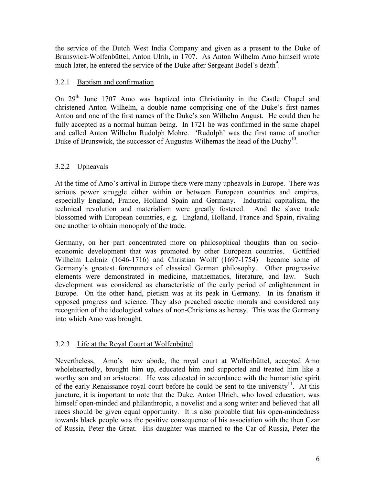the service of the Dutch West India Company and given as a present to the Duke of Brunswick-Wolfenbüttel, Anton Ulrih, in 1707. As Anton Wilhelm Amo himself wrote much later, he entered the service of the Duke after Sergeant Bodel's death<sup>9</sup>.

# 3.2.1 Baptism and confirmation

On 29<sup>th</sup> June 1707 Amo was baptized into Christianity in the Castle Chapel and christened Anton Wilhelm, a double name comprising one of the Duke's first names Anton and one of the first names of the Duke's son Wilhelm August. He could then be fully accepted as a normal human being. In 1721 he was confirmed in the same chapel and called Anton Wilhelm Rudolph Mohre. 'Rudolph' was the first name of another Duke of Brunswick, the successor of Augustus Wilhemas the head of the Duchy<sup>10</sup>.

# 3.2.2 Upheavals

At the time of Amo's arrival in Europe there were many upheavals in Europe. There was serious power struggle either within or between European countries and empires, especially England, France, Holland Spain and Germany. Industrial capitalism, the technical revolution and materialism were greatly fostered. And the slave trade blossomed with European countries, e.g. England, Holland, France and Spain, rivaling one another to obtain monopoly of the trade.

Germany, on her part concentrated more on philosophical thoughts than on socioeconomic development that was promoted by other European countries. Gottfried Wilhelm Leibniz (1646-1716) and Christian Wolff (1697-1754) became some of Germany's greatest forerunners of classical German philosophy. Other progressive elements were demonstrated in medicine, mathematics, literature, and law. Such development was considered as characteristic of the early period of enlightenment in Europe. On the other hand, pietism was at its peak in Germany. In its fanatism it opposed progress and science. They also preached ascetic morals and considered any recognition of the ideological values of non-Christians as heresy. This was the Germany into which Amo was brought.

# 3.2.3 Life at the Royal Court at Wolfenbüttel

Nevertheless, Amo's new abode, the royal court at Wolfenbüttel, accepted Amo wholeheartedly, brought him up, educated him and supported and treated him like a worthy son and an aristocrat. He was educated in accordance with the humanistic spirit of the early Renaissance royal court before he could be sent to the university<sup>11</sup>. At this juncture, it is important to note that the Duke, Anton Ulrich, who loved education, was himself open-minded and philanthropic, a novelist and a song writer and believed that all races should be given equal opportunity. It is also probable that his open-mindedness towards black people was the positive consequence of his association with the then Czar of Russia, Peter the Great. His daughter was married to the Car of Russia, Peter the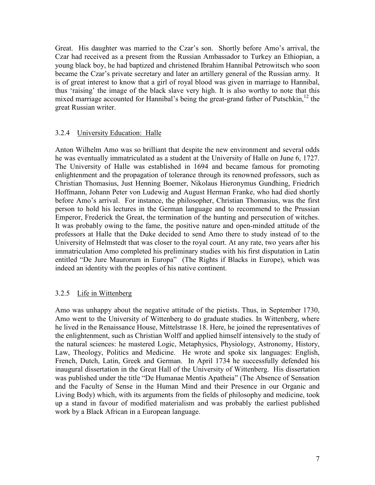Great. His daughter was married to the Czar's son. Shortly before Amo's arrival, the Czar had received as a present from the Russian Ambassador to Turkey an Ethiopian, a young black boy, he had baptized and christened Ibrahim Hannibal Petrowitsch who soon became the Czar's private secretary and later an artillery general of the Russian army. It is of great interest to know that a girl of royal blood was given in marriage to Hannibal, thus 'raising' the image of the black slave very high. It is also worthy to note that this mixed marriage accounted for Hannibal's being the great-grand father of Putschkin, $^{12}$  the great Russian writer.

#### 3.2.4 University Education: Halle

Anton Wilhelm Amo was so brilliant that despite the new environment and several odds he was eventually immatriculated as a student at the University of Halle on June 6, 1727. The University of Halle was established in 1694 and became famous for promoting enlightenment and the propagation of tolerance through its renowned professors, such as Christian Thomasius, Just Henning Boemer, Nikolaus Hieronymus Gundhing, Friedrich Hoffmann, Johann Peter von Ludewig and August Herman Franke, who had died shortly before Amo's arrival. For instance, the philosopher, Christian Thomasius, was the first person to hold his lectures in the German language and to recommend to the Prussian Emperor, Frederick the Great, the termination of the hunting and persecution of witches. It was probably owing to the fame, the positive nature and open-minded attitude of the professors at Halle that the Duke decided to send Amo there to study instead of to the University of Helmstedt that was closer to the royal court. At any rate, two years after his immatriculation Amo completed his preliminary studies with his first disputation in Latin entitled "De Jure Maurorum in Europa" (The Rights if Blacks in Europe), which was indeed an identity with the peoples of his native continent.

#### 3.2.5 Life in Wittenberg

Amo was unhappy about the negative attitude of the pietists. Thus, in September 1730, Amo went to the University of Wittenberg to do graduate studies. In Wittenberg, where he lived in the Renaissance House, Mittelstrasse 18. Here, he joined the representatives of the enlightenment, such as Christian Wolff and applied himself intensively to the study of the natural sciences: he mastered Logic, Metaphysics, Physiology, Astronomy, History, Law, Theology, Politics and Medicine. He wrote and spoke six languages: English, French, Dutch, Latin, Greek and German. In April 1734 he successfully defended his inaugural dissertation in the Great Hall of the University of Wittenberg. His dissertation was published under the title "De Humanae Mentis Apatheia" (The Absence of Sensation and the Faculty of Sense in the Human Mind and their Presence in our Organic and Living Body) which, with its arguments from the fields of philosophy and medicine, took up a stand in favour of modified materialism and was probably the earliest published work by a Black African in a European language.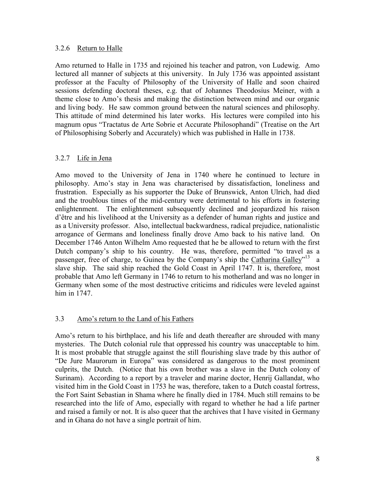#### 3.2.6 Return to Halle

Amo returned to Halle in 1735 and rejoined his teacher and patron, von Ludewig. Amo lectured all manner of subjects at this university. In July 1736 was appointed assistant professor at the Faculty of Philosophy of the University of Halle and soon chaired sessions defending doctoral theses, e.g. that of Johannes Theodosius Meiner, with a theme close to Amo's thesis and making the distinction between mind and our organic and living body. He saw common ground between the natural sciences and philosophy. This attitude of mind determined his later works. His lectures were compiled into his magnum opus "Tractatus de Arte Sobrie et Accurate Philosophandi" (Treatise on the Art of Philosophising Soberly and Accurately) which was published in Halle in 1738.

#### 3.2.7 Life in Jena

Amo moved to the University of Jena in 1740 where he continued to lecture in philosophy. Amo's stay in Jena was characterised by dissatisfaction, loneliness and frustration. Especially as his supporter the Duke of Brunswick, Anton Ulrich, had died and the troublous times of the mid-century were detrimental to his efforts in fostering enlightenment. The enlightenment subsequently declined and jeopardized his raison d'être and his livelihood at the University as a defender of human rights and justice and as a University professor. Also, intellectual backwardness, radical prejudice, nationalistic arrogance of Germans and loneliness finally drove Amo back to his native land. On December 1746 Anton Wilhelm Amo requested that he be allowed to return with the first Dutch company's ship to his country. He was, therefore, permitted "to travel as a passenger, free of charge, to Guinea by the Company's ship the Catharina Galley"<sup>13</sup> a slave ship. The said ship reached the Gold Coast in April 1747. It is, therefore, most probable that Amo left Germany in 1746 to return to his motherland and was no longer in Germany when some of the most destructive criticims and ridicules were leveled against him in 1747.

#### 3.3 Amo's return to the Land of his Fathers

Amo's return to his birthplace, and his life and death thereafter are shrouded with many mysteries. The Dutch colonial rule that oppressed his country was unacceptable to him. It is most probable that struggle against the still flourishing slave trade by this author of "De Jure Maurorum in Europa" was considered as dangerous to the most prominent culprits, the Dutch. (Notice that his own brother was a slave in the Dutch colony of Surinam). According to a report by a traveler and marine doctor, Henrij Gallandat, who visited him in the Gold Coast in 1753 he was, therefore, taken to a Dutch coastal fortress, the Fort Saint Sebastian in Shama where he finally died in 1784. Much still remains to be researched into the life of Amo, especially with regard to whether he had a life partner and raised a family or not. It is also queer that the archives that I have visited in Germany and in Ghana do not have a single portrait of him.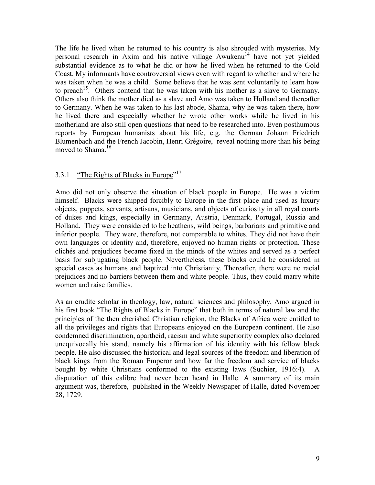The life he lived when he returned to his country is also shrouded with mysteries. My personal research in Axim and his native village  $A$ wukenu<sup>14</sup> have not yet yielded substantial evidence as to what he did or how he lived when he returned to the Gold Coast. My informants have controversial views even with regard to whether and where he was taken when he was a child. Some believe that he was sent voluntarily to learn how to preach<sup>15</sup>. Others contend that he was taken with his mother as a slave to Germany. Others also think the mother died as a slave and Amo was taken to Holland and thereafter to Germany. When he was taken to his last abode, Shama, why he was taken there, how he lived there and especially whether he wrote other works while he lived in his motherland are also still open questions that need to be researched into. Even posthumous reports by European humanists about his life, e.g. the German Johann Friedrich Blumenbach and the French Jacobin, Henri Grégoire, reveal nothing more than his being moved to Shama.<sup>16</sup>

# 3.3.1 "The Rights of Blacks in Europe"<sup>17</sup>

Amo did not only observe the situation of black people in Europe. He was a victim himself. Blacks were shipped forcibly to Europe in the first place and used as luxury objects, puppets, servants, artisans, musicians, and objects of curiosity in all royal courts of dukes and kings, especially in Germany, Austria, Denmark, Portugal, Russia and Holland. They were considered to be heathens, wild beings, barbarians and primitive and inferior people. They were, therefore, not comparable to whites. They did not have their own languages or identity and, therefore, enjoyed no human rights or protection. These clichés and prejudices became fixed in the minds of the whites and served as a perfect basis for subjugating black people. Nevertheless, these blacks could be considered in special cases as humans and baptized into Christianity. Thereafter, there were no racial prejudices and no barriers between them and white people. Thus, they could marry white women and raise families.

As an erudite scholar in theology, law, natural sciences and philosophy, Amo argued in his first book "The Rights of Blacks in Europe" that both in terms of natural law and the principles of the then cherished Christian religion, the Blacks of Africa were entitled to all the privileges and rights that Europeans enjoyed on the European continent. He also condemned discrimination, apartheid, racism and white superiority complex also declared unequivocally his stand, namely his affirmation of his identity with his fellow black people. He also discussed the historical and legal sources of the freedom and liberation of black kings from the Roman Emperor and how far the freedom and service of blacks bought by white Christians conformed to the existing laws (Suchier, 1916:4). A disputation of this calibre had never been heard in Halle. A summary of its main argument was, therefore, published in the Weekly Newspaper of Halle, dated November 28, 1729.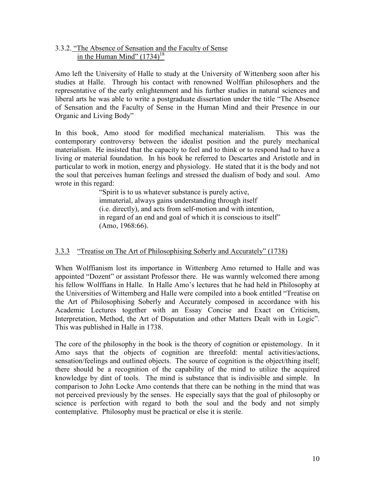#### 3.3.2. "The Absence of Sensation and the Faculty of Sense in the Human Mind"  $(1734)^{18}$

Amo left the University of Halle to study at the University of Wittenberg soon after his studies at Halle. Through his contact with renowned Wolffian philosophers and the representative of the early enlightenment and his further studies in natural sciences and liberal arts he was able to write a postgraduate dissertation under the title "The Absence of Sensation and the Faculty of Sense in the Human Mind and their Presence in our Organic and Living Body"

In this book, Amo stood for modified mechanical materialism. This was the contemporary controversy between the idealist position and the purely mechanical materialism. He insisted that the capacity to feel and to think or to respond had to have a living or material foundation. In his book he referred to Descartes and Aristotle and in particular to work in motion, energy and physiology. He stated that it is the body and not the soul that perceives human feelings and stressed the dualism of body and soul. Amo wrote in this regard:

 "Spirit is to us whatever substance is purely active, immaterial, always gains understanding through itself (i.e. directly), and acts from self-motion and with intention, in regard of an end and goal of which it is conscious to itself" (Amo, 1968:66).

# 3.3.3 "Treatise on The Art of Philosophising Soberly and Accurately" (1738)

When Wolffianism lost its importance in Wittenberg Amo returned to Halle and was appointed "Dozent" or assistant Professor there. He was warmly welcomed there among his fellow Wolffians in Halle. In Halle Amo's lectures that he had held in Philosophy at the Universities of Wittemberg and Halle were compiled into a book entitled "Treatise on the Art of Philosophising Soberly and Accurately composed in accordance with his Academic Lectures together with an Essay Concise and Exact on Criticism, Interpretation, Method, the Art of Disputation and other Matters Dealt with in Logic". This was published in Halle in 1738.

The core of the philosophy in the book is the theory of cognition or epistemology. In it Amo says that the objects of cognition are threefold: mental activities/actions, sensation/feelings and outlined objects. The source of cognition is the object/thing itself; there should be a recognition of the capability of the mind to utilize the acquired knowledge by dint of tools. The mind is substance that is indivisible and simple. In comparison to John Locke Amo contends that there can be nothing in the mind that was not perceived previously by the senses. He especially says that the goal of philosophy or science is perfection with regard to both the soul and the body and not simply contemplative. Philosophy must be practical or else it is sterile.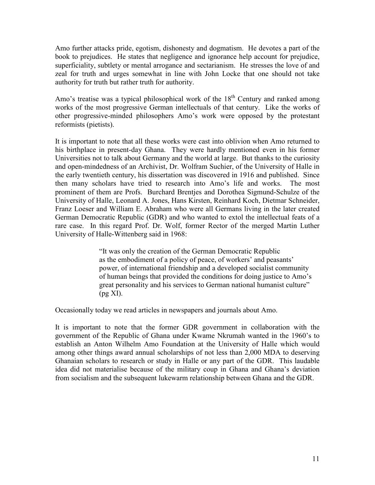Amo further attacks pride, egotism, dishonesty and dogmatism. He devotes a part of the book to prejudices. He states that negligence and ignorance help account for prejudice, superficiality, subtlety or mental arrogance and sectarianism. He stresses the love of and zeal for truth and urges somewhat in line with John Locke that one should not take authority for truth but rather truth for authority.

Amo's treatise was a typical philosophical work of the  $18<sup>th</sup>$  Century and ranked among works of the most progressive German intellectuals of that century. Like the works of other progressive-minded philosophers Amo's work were opposed by the protestant reformists (pietists).

It is important to note that all these works were cast into oblivion when Amo returned to his birthplace in present-day Ghana. They were hardly mentioned even in his former Universities not to talk about Germany and the world at large. But thanks to the curiosity and open-mindedness of an Archivist, Dr. Wolfram Suchier, of the University of Halle in the early twentieth century, his dissertation was discovered in 1916 and published. Since then many scholars have tried to research into Amo's life and works. The most prominent of them are Profs. Burchard Brentjes and Dorothea Sigmund-Schulze of the University of Halle, Leonard A. Jones, Hans Kirsten, Reinhard Koch, Dietmar Schneider, Franz Loeser and William E. Abraham who were all Germans living in the later created German Democratic Republic (GDR) and who wanted to extol the intellectual feats of a rare case. In this regard Prof. Dr. Wolf, former Rector of the merged Martin Luther University of Halle-Wittenberg said in 1968:

> "It was only the creation of the German Democratic Republic as the embodiment of a policy of peace, of workers' and peasants' power, of international friendship and a developed socialist community of human beings that provided the conditions for doing justice to Amo's great personality and his services to German national humanist culture"  $(pg XI)$ .

Occasionally today we read articles in newspapers and journals about Amo.

It is important to note that the former GDR government in collaboration with the government of the Republic of Ghana under Kwame Nkrumah wanted in the 1960's to establish an Anton Wilhelm Amo Foundation at the University of Halle which would among other things award annual scholarships of not less than 2,000 MDA to deserving Ghanaian scholars to research or study in Halle or any part of the GDR. This laudable idea did not materialise because of the military coup in Ghana and Ghana's deviation from socialism and the subsequent lukewarm relationship between Ghana and the GDR.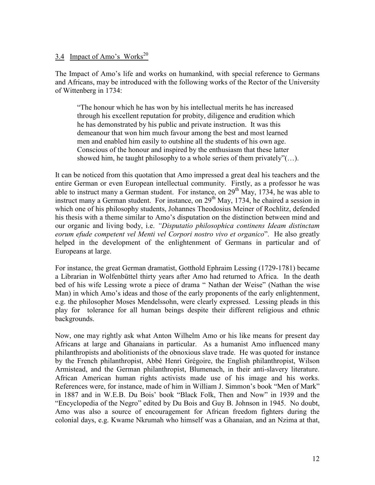#### 3.4 Impact of Amo's Works<sup>20</sup>

The Impact of Amo's life and works on humankind, with special reference to Germans and Africans, may be introduced with the following works of the Rector of the University of Wittenberg in 1734:

 "The honour which he has won by his intellectual merits he has increased through his excellent reputation for probity, diligence and erudition which he has demonstrated by his public and private instruction. It was this demeanour that won him much favour among the best and most learned men and enabled him easily to outshine all the students of his own age. Conscious of the honour and inspired by the enthusiasm that these latter showed him, he taught philosophy to a whole series of them privately" $(...)$ .

It can be noticed from this quotation that Amo impressed a great deal his teachers and the entire German or even European intellectual community. Firstly, as a professor he was able to instruct many a German student. For instance, on  $29<sup>th</sup>$  May, 1734, he was able to instruct many a German student. For instance, on  $29<sup>th</sup>$  May, 1734, he chaired a session in which one of his philosophy students, Johannes Theodosius Meiner of Rochlitz, defended his thesis with a theme similar to Amo's disputation on the distinction between mind and our organic and living body, i.e. "Disputatio philosophica continens Ideam distinctam eorum efude competent vel Menti vel Corpori nostro vivo et organico". He also greatly helped in the development of the enlightenment of Germans in particular and of Europeans at large.

For instance, the great German dramatist, Gotthold Ephraim Lessing (1729-1781) became a Librarian in Wolfenbüttel thirty years after Amo had returned to Africa. In the death bed of his wife Lessing wrote a piece of drama " Nathan der Weise" (Nathan the wise Man) in which Amo's ideas and those of the early proponents of the early enlightenment, e.g. the philosopher Moses Mendelssohn, were clearly expressed. Lessing pleads in this play for tolerance for all human beings despite their different religious and ethnic backgrounds.

Now, one may rightly ask what Anton Wilhelm Amo or his like means for present day Africans at large and Ghanaians in particular. As a humanist Amo influenced many philanthropists and abolitionists of the obnoxious slave trade. He was quoted for instance by the French philanthropist, Abbé Henri Grégoire, the English philanthropist, Wilson Armistead, and the German philanthropist, Blumenach, in their anti-slavery literature. African American human rights activists made use of his image and his works. References were, for instance, made of him in William J. Simmon's book "Men of Mark" in 1887 and in W.E.B. Du Bois' book "Black Folk, Then and Now" in 1939 and the "Encyclopedia of the Negro" edited by Du Bois and Guy B. Johnson in 1945. No doubt, Amo was also a source of encouragement for African freedom fighters during the colonial days, e.g. Kwame Nkrumah who himself was a Ghanaian, and an Nzima at that,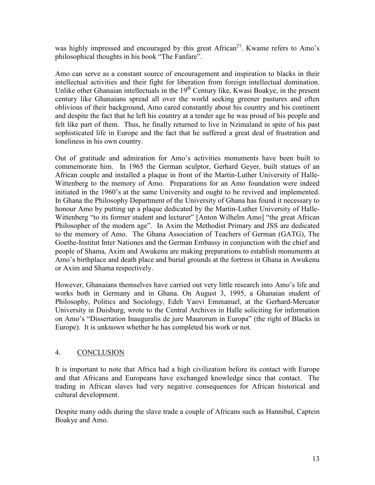was highly impressed and encouraged by this great  $A$ frican<sup>21</sup>. Kwame refers to Amo's philosophical thoughts in his book "The Fanfare".

Amo can serve as a constant source of encouragement and inspiration to blacks in their intellectual activities and their fight for liberation from foreign intellectual domination. Unlike other Ghanaian intellectuals in the  $19<sup>th</sup>$  Century like, Kwasi Boakye, in the present century like Ghanaians spread all over the world seeking greener pastures and often oblivious of their background, Amo cared constantly about his country and his continent and despite the fact that he left his country at a tender age he was proud of his people and felt like part of them. Thus, he finally returned to live in Nzimaland in spite of his past sophisticated life in Europe and the fact that he suffered a great deal of frustration and loneliness in his own country.

Out of gratitude and admiration for Amo's activities monuments have been built to commemorate him. In 1965 the German sculptor, Gerhard Geyer, built statues of an African couple and installed a plaque in front of the Martin-Luther University of Halle-Wittenberg to the memory of Amo. Preparations for an Amo foundation were indeed initiated in the 1960's at the same University and ought to be revived and implemented. In Ghana the Philosophy Department of the University of Ghana has found it necessary to honour Amo by putting up a plaque dedicated by the Martin-Luther University of Halle-Wittenberg "to its former student and lecturer" [Anton Wilhelm Amo] "the great African Philosopher of the modern age". In Axim the Methodist Primary and JSS are dedicated to the memory of Amo. The Ghana Association of Teachers of German (GATG), The Goethe-Institut Inter Nationes and the German Embassy in conjunction with the chief and people of Shama, Axim and Awukenu are making preparations to establish monuments at Amo's birthplace and death place and burial grounds at the fortress in Ghana in Awukenu or Axim and Shama respectively.

However, Ghanaians themselves have carried out very little research into Amo's life and works both in Germany and in Ghana. On August 3, 1995, a Ghanaian student of Philosophy, Politics and Sociology, Edeh Yaovi Emmanuel, at the Gerhard-Mercator University in Duisburg, wrote to the Central Archives in Halle soliciting for information on Amo's "Dissertation Inauguralis de jure Maurorum in Europa" (the right of Blacks in Europe). It is unknown whether he has completed his work or not.

#### 4. CONCLUSION

It is important to note that Africa had a high civilization before its contact with Europe and that Africans and Europeans have exchanged knowledge since that contact. The trading in African slaves had very negative consequences for African historical and cultural development.

Despite many odds during the slave trade a couple of Africans such as Hannibal, Captein Boakye and Amo.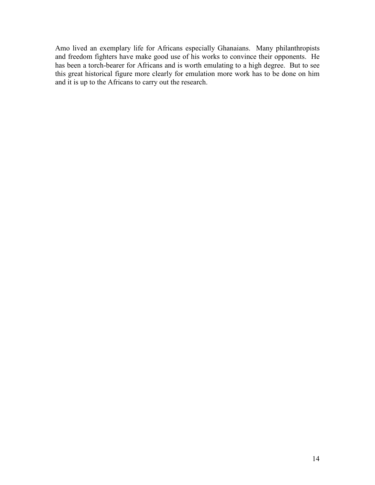Amo lived an exemplary life for Africans especially Ghanaians. Many philanthropists and freedom fighters have make good use of his works to convince their opponents. He has been a torch-bearer for Africans and is worth emulating to a high degree. But to see this great historical figure more clearly for emulation more work has to be done on him and it is up to the Africans to carry out the research.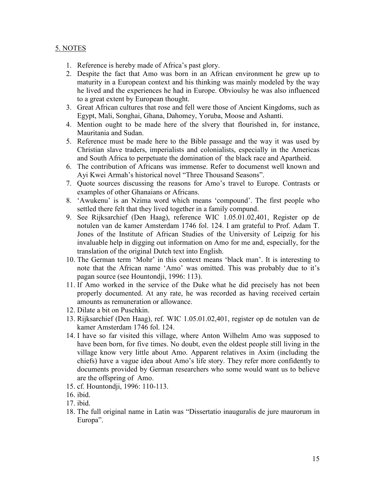#### 5. NOTES

- 1. Reference is hereby made of Africa's past glory.
- 2. Despite the fact that Amo was born in an African environment he grew up to maturity in a European context and his thinking was mainly modeled by the way he lived and the experiences he had in Europe. Obvioulsy he was also influenced to a great extent by European thought.
- 3. Great African cultures that rose and fell were those of Ancient Kingdoms, such as Egypt, Mali, Songhai, Ghana, Dahomey, Yoruba, Moose and Ashanti.
- 4. Mention ought to be made here of the slvery that flourished in, for instance, Mauritania and Sudan.
- 5. Reference must be made here to the Bible passage and the way it was used by Christian slave traders, imperialists and colonialists, especially in the Americas and South Africa to perpetuate the domination of the black race and Apartheid.
- 6. The contribution of Africans was immense. Refer to documenst well known and Ayi Kwei Armah's historical novel "Three Thousand Seasons".
- 7. Quote sources discussing the reasons for Amo's travel to Europe. Contrasts or examples of other Ghanaians or Africans.
- 8. 'Awukenu' is an Nzima word which means 'compound'. The first people who settled there felt that they lived together in a family compund.
- 9. See Rijksarchief (Den Haag), reference WIC 1.05.01.02,401, Register op de notulen van de kamer Amsterdam 1746 fol. 124. I am grateful to Prof. Adam T. Jones of the Institute of African Studies of the University of Leipzig for his invaluable help in digging out information on Amo for me and, especially, for the translation of the original Dutch text into English.
- 10. The German term 'Mohr' in this context means 'black man'. It is interesting to note that the African name 'Amo' was omitted. This was probably due to it's pagan source (see Hountondji, 1996: 113).
- 11. If Amo worked in the service of the Duke what he did precisely has not been properly documented. At any rate, he was recorded as having received certain amounts as remuneration or allowance.
- 12. Dilate a bit on Puschkin.
- 13. Rijksarchief (Den Haag), ref. WIC 1.05.01.02,401, register op de notulen van de kamer Amsterdam 1746 fol. 124.
- 14. I have so far visited this village, where Anton Wilhelm Amo was supposed to have been born, for five times. No doubt, even the oldest people still living in the village know very little about Amo. Apparent relatives in Axim (including the chiefs) have a vague idea about Amo's life story. They refer more confidently to documents provided by German researchers who some would want us to believe are the offspring of Amo.
- 15. cf. Hountondji, 1996: 110-113.
- 16. ibid.
- 17. ibid.
- 18. The full original name in Latin was "Dissertatio inauguralis de jure maurorum in Europa".